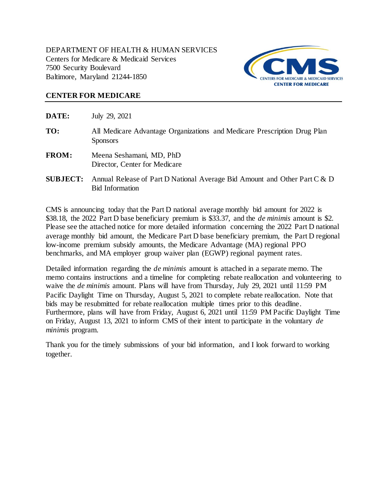DEPARTMENT OF HEALTH & HUMAN SERVICES Centers for Medicare & Medicaid Services 7500 Security Boulevard Baltimore, Maryland 21244-1850



### **CENTER FOR MEDICARE**

**DATE:** July 29, 2021

- **TO:** All Medicare Advantage Organizations and Medicare Prescription Drug Plan **Sponsors**
- **FROM:** Meena Seshamani, MD, PhD Director, Center for Medicare
- **SUBJECT:** Annual Release of Part D National Average Bid Amount and Other Part C & D Bid Information

CMS is announcing today that the Part D national average monthly bid amount for 2022 is \$38.18, the 2022 Part D base beneficiary premium is \$33.37, and the *de minimis* amount is \$2. Please see the attached notice for more detailed information concerning the 2022 Part D national average monthly bid amount, the Medicare Part D base beneficiary premium, the Part D regional low-income premium subsidy amounts, the Medicare Advantage (MA) regional PPO benchmarks, and MA employer group waiver plan (EGWP) regional payment rates.

Detailed information regarding the *de minimis* amount is attached in a separate memo. The memo contains instructions and a timeline for completing rebate reallocation and volunteering to waive the *de minimis* amount. Plans will have from Thursday, July 29, 2021 until 11:59 PM Pacific Daylight Time on Thursday, August 5, 2021 to complete rebate reallocation. Note that bids may be resubmitted for rebate reallocation multiple times prior to this deadline. Furthermore, plans will have from Friday, August 6, 2021 until 11:59 PM Pacific Daylight Time on Friday, August 13, 2021 to inform CMS of their intent to participate in the voluntary *de minimis* program.

Thank you for the timely submissions of your bid information, and I look forward to working together.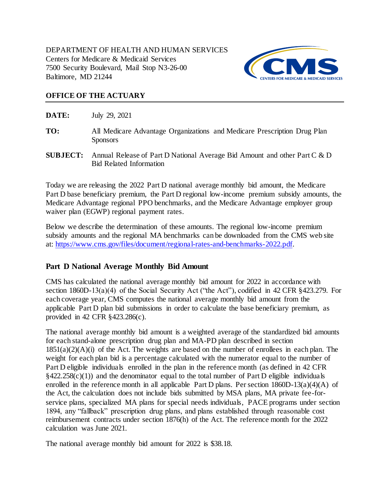DEPARTMENT OF HEALTH AND HUMAN SERVICES Centers for Medicare & Medicaid Services 7500 Security Boulevard, Mail Stop N3-26-00 Baltimore, MD 21244



# **OFFICE OF THE ACTUARY**

**DATE:** July 29, 2021

- **TO:** All Medicare Advantage Organizations and Medicare Prescription Drug Plan Sponsors
- **SUBJECT:** Annual Release of Part D National Average Bid Amount and other Part C & D Bid Related Information

Today we are releasing the 2022 Part D national average monthly bid amount, the Medicare Part D base beneficiary premium, the Part D regional low-income premium subsidy amounts, the Medicare Advantage regional PPO benchmarks, and the Medicare Advantage employer group waiver plan (EGWP) regional payment rates.

Below we describe the determination of these amounts. The regional low-income premium subsidy amounts and the regional MA benchmarks can be downloaded from the CMS web site at: [https://www.cms.gov/files/document/regional-rates-and-benchmarks-2022.pdf.](https://www.cms.gov/files/document/regional-rates-and-benchmarks-2022.pdf)

# **Part D National Average Monthly Bid Amount**

CMS has calculated the national average monthly bid amount for 2022 in accordance with section 1860D-13(a)(4) of the Social Security Act ("the Act"), codified in 42 CFR §423.279. For each coverage year, CMS computes the national average monthly bid amount from the applicable Part D plan bid submissions in order to calculate the base beneficiary premium, as provided in 42 CFR §423.286(c).

The national average monthly bid amount is a weighted average of the standardized bid amounts for each stand-alone prescription drug plan and MA-PD plan described in section  $1851(a)(2)(A)(i)$  of the Act. The weights are based on the number of enrollees in each plan. The weight for each plan bid is a percentage calculated with the numerator equal to the number of Part D eligible individuals enrolled in the plan in the reference month (as defined in 42 CFR  $§422.258(c)(1)$  and the denominator equal to the total number of Part D eligible individuals enrolled in the reference month in all applicable Part D plans. Per section 1860D-13(a)(4)(A) of the Act, the calculation does not include bids submitted by MSA plans, MA private fee-forservice plans, specialized MA plans for special needs individuals, PACE programs under section 1894, any "fallback" prescription drug plans, and plans established through reasonable cost reimbursement contracts under section 1876(h) of the Act. The reference month for the 2022 calculation was June 2021.

The national average monthly bid amount for 2022 is \$38.18.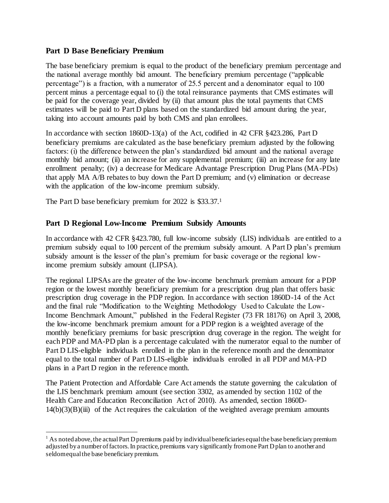# **Part D Base Beneficiary Premium**

The base beneficiary premium is equal to the product of the beneficiary premium percentage and the national average monthly bid amount. The beneficiary premium percentage ("applicable percentage") is a fraction, with a numerator of 25.5 percent and a denominator equal to 100 percent minus a percentage equal to (i) the total reinsurance payments that CMS estimates will be paid for the coverage year, divided by (ii) that amount plus the total payments that CMS estimates will be paid to Part D plans based on the standardized bid amount during the year, taking into account amounts paid by both CMS and plan enrollees.

In accordance with section 1860D-13(a) of the Act, codified in 42 CFR §423.286, Part D beneficiary premiums are calculated as the base beneficiary premium adjusted by the following factors: (i) the difference between the plan's standardized bid amount and the national average monthly bid amount; (ii) an increase for any supplemental premium; (iii) an increase for any late enrollment penalty; (iv) a decrease for Medicare Advantage Prescription Drug Plans (MA-PDs) that apply MA A/B rebates to buy down the Part D premium; and (v) elimination or decrease with the application of the low-income premium subsidy.

The Part D base beneficiary premium for 2022 is \$33.37.1

j

# **Part D Regional Low-Income Premium Subsidy Amounts**

In accordance with 42 CFR §423.780, full low-income subsidy (LIS) individuals are entitled to a premium subsidy equal to 100 percent of the premium subsidy amount. A Part D plan's premium subsidy amount is the lesser of the plan's premium for basic coverage or the regional lowincome premium subsidy amount (LIPSA).

The regional LIPSAs are the greater of the low-income benchmark premium amount for a PDP region or the lowest monthly beneficiary premium for a prescription drug plan that offers basic prescription drug coverage in the PDP region. In accordance with section 1860D-14 of the Act and the final rule "Modification to the Weighting Methodology Used to Calculate the Low-Income Benchmark Amount," published in the Federal Register (73 FR 18176) on April 3, 2008, the low-income benchmark premium amount for a PDP region is a weighted average of the monthly beneficiary premiums for basic prescription drug coverage in the region. The weight for each PDP and MA-PD plan is a percentage calculated with the numerator equal to the number of Part D LIS-eligible individuals enrolled in the plan in the reference month and the denominator equal to the total number of Part D LIS-eligible individuals enrolled in all PDP and MA-PD plans in a Part D region in the reference month.

The Patient Protection and Affordable Care Act amends the statute governing the calculation of the LIS benchmark premium amount (see section 3302, as amended by section 1102 of the Health Care and Education Reconciliation Act of 2010). As amended, section 1860D- $14(b)(3)(B)(iii)$  of the Act requires the calculation of the weighted average premium amounts

 $1$  As noted above, the actual Part D premiums paid by individual beneficiaries equal the base beneficiary premium adjusted by a number of factors. In practice, premiums vary significantly from one Part D plan to another and seldom equal the base beneficiary premium.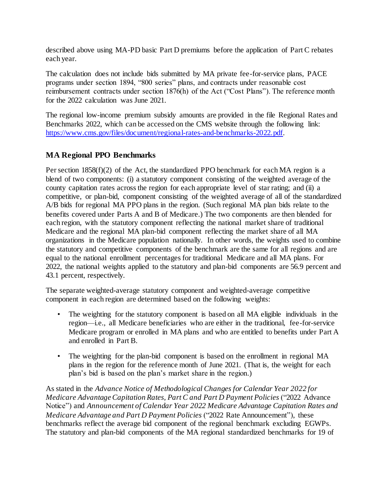described above using MA-PD basic Part D premiums before the application of Part C rebates each year.

The calculation does not include bids submitted by MA private fee-for-service plans, PACE programs under section 1894, "800 series" plans, and contracts under reasonable cost reimbursement contracts under section 1876(h) of the Act ("Cost Plans"). The reference month for the 2022 calculation was June 2021.

The regional low-income premium subsidy amounts are provided in the file Regional Rates and Benchmarks 2022, which can be accessed on the CMS website through the following link: [https://www.cms.gov/files/document/regional-rates-and-benchmarks-2022.pdf.](https://www.cms.gov/files/document/regional-rates-and-benchmarks-2022.pdf)

# **MA Regional PPO Benchmarks**

Per section 1858(f)(2) of the Act, the standardized PPO benchmark for each MA region is a blend of two components: (i) a statutory component consisting of the weighted average of the county capitation rates across the region for each appropriate level of star rating; and (ii) a competitive, or plan-bid, component consisting of the weighted average of all of the standardized A/B bids for regional MA PPO plans in the region. (Such regional MA plan bids relate to the benefits covered under Parts A and B of Medicare.) The two components are then blended for each region, with the statutory component reflecting the national market share of traditional Medicare and the regional MA plan-bid component reflecting the market share of all MA organizations in the Medicare population nationally. In other words, the weights used to combine the statutory and competitive components of the benchmark are the same for all regions and are equal to the national enrollment percentages for traditional Medicare and all MA plans. For 2022, the national weights applied to the statutory and plan-bid components are 56.9 percent and 43.1 percent, respectively.

The separate weighted-average statutory component and weighted-average competitive component in each region are determined based on the following weights:

- The weighting for the statutory component is based on all MA eligible individuals in the region—i.e., all Medicare beneficiaries who are either in the traditional, fee-for-service Medicare program or enrolled in MA plans and who are entitled to benefits under Part A and enrolled in Part B.
- The weighting for the plan-bid component is based on the enrollment in regional MA plans in the region for the reference month of June 2021. (That is, the weight for each plan's bid is based on the plan's market share in the region.)

As stated in the *Advance Notice of Methodological Changes for Calendar Year 2022 for Medicare Advantage Capitation Rates, Part C and Part D Payment Policies* ("2022 Advance Notice") and *Announcement of Calendar Year 2022 Medicare Advantage Capitation Rates and Medicare Advantage and Part D Payment Policies* ("2022 Rate Announcement"), these benchmarks reflect the average bid component of the regional benchmark excluding EGWPs. The statutory and plan-bid components of the MA regional standardized benchmarks for 19 of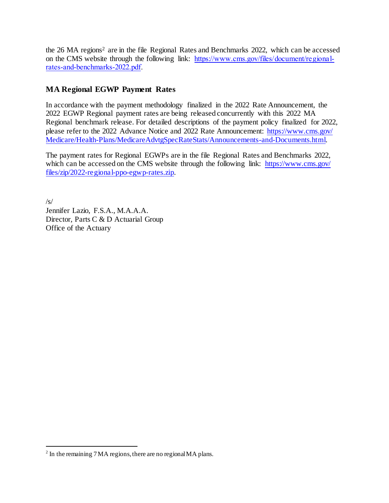the 26 MA regions<sup>2</sup> are in the file Regional Rates and Benchmarks 2022, which can be accessed on the CMS website through the following link: [https://www.cms.gov/files/document/regional](https://www.cms.gov/files/document/regional-rates-and-benchmarks-2022.pdf)[rates-and-benchmarks-2022.pdf.](https://www.cms.gov/files/document/regional-rates-and-benchmarks-2022.pdf)

# **MA Regional EGWP Payment Rates**

In accordance with the payment methodology finalized in the 2022 Rate Announcement, the 2022 EGWP Regional payment rates are being released concurrently with this 2022 MA Regional benchmark release. For detailed descriptions of the payment policy finalized for 2022, please refer to the 2022 Advance Notice and 2022 Rate Announcement: [https://www.cms.gov/](https://www.cms.gov/Medicare/Health-Plans/MedicareAdvtgSpecRateStats/Announcements-and-Documents.html) [Medicare/Health-Plans/MedicareAdvtgSpecRateStats/Announcements-and-Documents.html.](https://www.cms.gov/Medicare/Health-Plans/MedicareAdvtgSpecRateStats/Announcements-and-Documents.html)

The payment rates for Regional EGWPs are in the file Regional Rates and Benchmarks 2022, which can be accessed on the CMS website through the following link: [https://www.cms.gov/](https://www.cms.gov/files/zip/2022-regional-ppo-egwp-rates.zip) [files/zip/2022-regional-ppo-egwp-rates.zip.](https://www.cms.gov/files/zip/2022-regional-ppo-egwp-rates.zip)

 $/s/$ Jennifer Lazio, F.S.A., M.A.A.A. Director, Parts C & D Actuarial Group Office of the Actuary

l

 $2^2$  In the remaining 7 MA regions, there are no regional MA plans.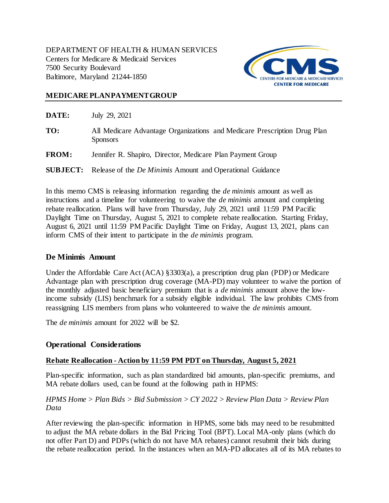

## **MEDICAREPLANPAYMENTGROUP**

| DATE:        | July 29, 2021                                                                               |
|--------------|---------------------------------------------------------------------------------------------|
| TO:          | All Medicare Advantage Organizations and Medicare Prescription Drug Plan<br><b>Sponsors</b> |
| <b>FROM:</b> | Jennifer R. Shapiro, Director, Medicare Plan Payment Group                                  |
|              | <b>SUBJECT:</b> Release of the <i>De Minimis</i> Amount and Operational Guidance            |

In this memo CMS is releasing information regarding the *de minimis* amount as well as instructions and a timeline for volunteering to waive the *de minimis* amount and completing rebate reallocation. Plans will have from Thursday, July 29, 2021 until 11:59 PM Pacific Daylight Time on Thursday, August 5, 2021 to complete rebate reallocation. Starting Friday, August 6, 2021 until 11:59 PM Pacific Daylight Time on Friday, August 13, 2021, plans can inform CMS of their intent to participate in the *de minimis* program.

### **De Minimis Amount**

Under the Affordable Care Act (ACA) §3303(a), a prescription drug plan (PDP) or Medicare Advantage plan with prescription drug coverage (MA-PD) may volunteer to waive the portion of the monthly adjusted basic beneficiary premium that is a *de minimis* amount above the lowincome subsidy (LIS) benchmark for a subsidy eligible individual. The law prohibits CMS from reassigning LIS members from plans who volunteered to waive the *de minimis* amount.

The *de minimis* amount for 2022 will be \$2.

# **Operational Considerations**

### **Rebate Reallocation - Action by 11:59 PM PDT on Thursday, August 5, 2021**

Plan-specific information, such as plan standardized bid amounts, plan-specific premiums, and MA rebate dollars used, can be found at the following path in HPMS:

*HPMS Home > Plan Bids > Bid Submission > CY 2022 > Review Plan Data > Review Plan Data*

After reviewing the plan-specific information in HPMS, some bids may need to be resubmitted to adjust the MA rebate dollars in the Bid Pricing Tool (BPT). Local MA-only plans (which do not offer Part D) and PDPs (which do not have MA rebates) cannot resubmit their bids during the rebate reallocation period. In the instances when an MA-PD allocates all of its MA rebates to